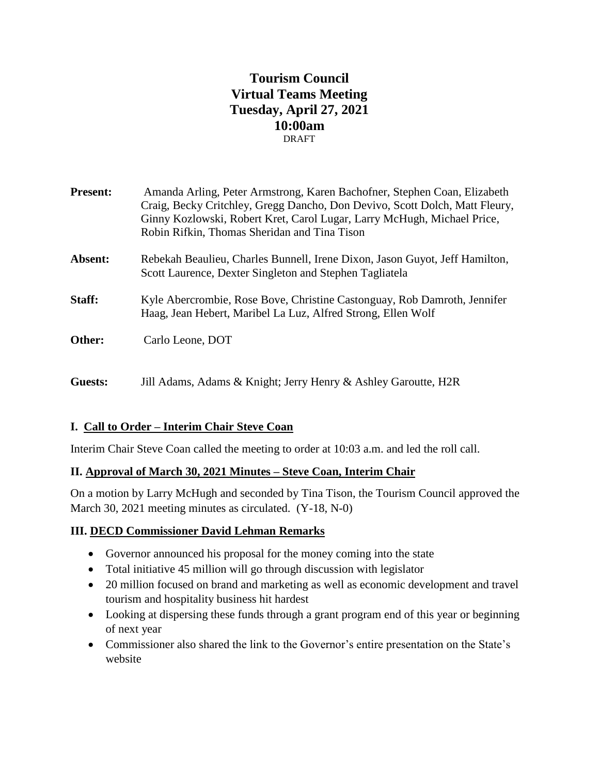# **Tourism Council Virtual Teams Meeting Tuesday, April 27, 2021 10:00am** DRAFT

| <b>Present:</b> | Amanda Arling, Peter Armstrong, Karen Bachofner, Stephen Coan, Elizabeth<br>Craig, Becky Critchley, Gregg Dancho, Don Devivo, Scott Dolch, Matt Fleury,<br>Ginny Kozlowski, Robert Kret, Carol Lugar, Larry McHugh, Michael Price,<br>Robin Rifkin, Thomas Sheridan and Tina Tison |
|-----------------|------------------------------------------------------------------------------------------------------------------------------------------------------------------------------------------------------------------------------------------------------------------------------------|
| Absent:         | Rebekah Beaulieu, Charles Bunnell, Irene Dixon, Jason Guyot, Jeff Hamilton,<br>Scott Laurence, Dexter Singleton and Stephen Tagliatela                                                                                                                                             |
| Staff:          | Kyle Abercrombie, Rose Bove, Christine Castonguay, Rob Damroth, Jennifer<br>Haag, Jean Hebert, Maribel La Luz, Alfred Strong, Ellen Wolf                                                                                                                                           |
| Other:          | Carlo Leone, DOT                                                                                                                                                                                                                                                                   |
| Guests:         | Jill Adams, Adams & Knight; Jerry Henry & Ashley Garoutte, H2R                                                                                                                                                                                                                     |

# **I. Call to Order – Interim Chair Steve Coan**

Interim Chair Steve Coan called the meeting to order at 10:03 a.m. and led the roll call.

### **II. Approval of March 30, 2021 Minutes – Steve Coan, Interim Chair**

On a motion by Larry McHugh and seconded by Tina Tison, the Tourism Council approved the March 30, 2021 meeting minutes as circulated. (Y-18, N-0)

#### **III. DECD Commissioner David Lehman Remarks**

- Governor announced his proposal for the money coming into the state
- Total initiative 45 million will go through discussion with legislator
- 20 million focused on brand and marketing as well as economic development and travel tourism and hospitality business hit hardest
- Looking at dispersing these funds through a grant program end of this year or beginning of next year
- Commissioner also shared the link to the Governor's entire presentation on the State's website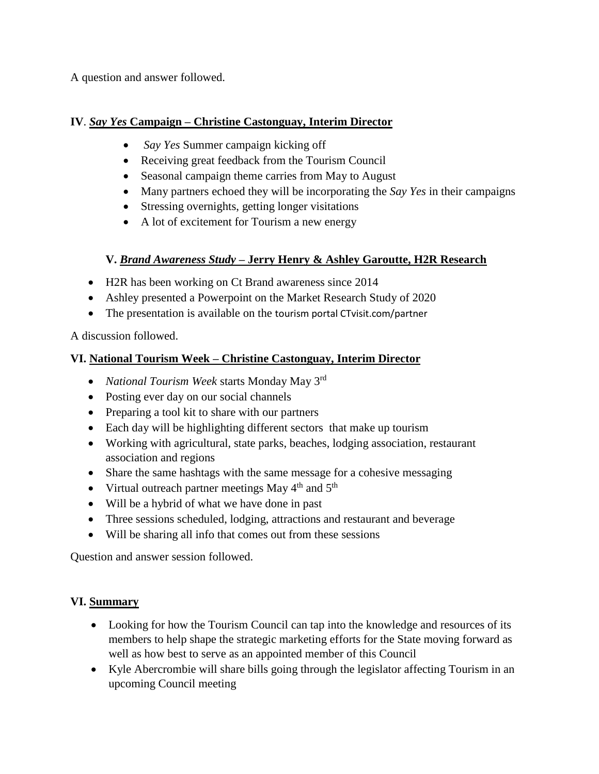A question and answer followed.

### **IV**. *Say Yes* **Campaign – Christine Castonguay, Interim Director**

- *Say Yes* Summer campaign kicking off
- Receiving great feedback from the Tourism Council
- Seasonal campaign theme carries from May to August
- Many partners echoed they will be incorporating the *Say Yes* in their campaigns
- Stressing overnights, getting longer visitations
- A lot of excitement for Tourism a new energy

### **V.** *Brand Awareness Study –* **Jerry Henry & Ashley Garoutte, H2R Research**

- H2R has been working on Ct Brand awareness since 2014
- Ashley presented a Powerpoint on the Market Research Study of 2020
- The presentation is available on the tourism portal CTvisit.com/partner

A discussion followed.

# **VI. National Tourism Week – Christine Castonguay, Interim Director**

- *National Tourism Week* starts Monday May 3rd
- Posting ever day on our social channels
- Preparing a tool kit to share with our partners
- Each day will be highlighting different sectors that make up tourism
- Working with agricultural, state parks, beaches, lodging association, restaurant association and regions
- Share the same hashtags with the same message for a cohesive messaging
- Virtual outreach partner meetings May  $4<sup>th</sup>$  and  $5<sup>th</sup>$
- Will be a hybrid of what we have done in past
- Three sessions scheduled, lodging, attractions and restaurant and beverage
- Will be sharing all info that comes out from these sessions

Question and answer session followed.

# **VI. Summary**

- Looking for how the Tourism Council can tap into the knowledge and resources of its members to help shape the strategic marketing efforts for the State moving forward as well as how best to serve as an appointed member of this Council
- Kyle Abercrombie will share bills going through the legislator affecting Tourism in an upcoming Council meeting